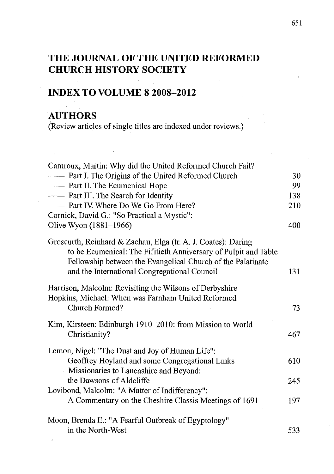#### **THE JOURNAL OF THE UNITED REFORMED CHURCH HISTORY SOCIETY**

#### **INDEX TO VOLUME 8 2008-2012**

### **AUTHORS**

(Review articles of single titles are indexed under reviews.)

| Camroux, Martin: Why did the United Reformed Church Fail?                                                                                                                                                                                       |     |
|-------------------------------------------------------------------------------------------------------------------------------------------------------------------------------------------------------------------------------------------------|-----|
| - Part I. The Origins of the United Reformed Church                                                                                                                                                                                             | 30  |
| - Part II. The Ecumenical Hope                                                                                                                                                                                                                  | 99  |
| - Part III. The Search for Identity                                                                                                                                                                                                             | 138 |
| - Part IV. Where Do We Go From Here?                                                                                                                                                                                                            | 210 |
| Cornick, David G.: "So Practical a Mystic":                                                                                                                                                                                                     |     |
| Olive Wyon (1881–1966)                                                                                                                                                                                                                          | 400 |
| Groscurth, Reinhard & Zachau, Elga (tr. A. J. Coates): Daring<br>to be Ecumenical: The Fifitieth Anniversary of Pulpit and Table<br>Fellowship between the Evangelical Church of the Palatinate<br>and the International Congregational Council | 131 |
| Harrison, Malcolm: Revisiting the Wilsons of Derbyshire<br>Hopkins, Michael: When was Farnham United Reformed<br>Church Formed?                                                                                                                 | 73  |
| Kim, Kirsteen: Edinburgh 1910–2010: from Mission to World<br>Christianity?                                                                                                                                                                      | 467 |
| Lemon, Nigel: "The Dust and Joy of Human Life":                                                                                                                                                                                                 |     |
| Geoffrey Hoyland and some Congregational Links<br>- Missionaries to Lancashire and Beyond:                                                                                                                                                      | 610 |
| the Dawsons of Aldcliffe                                                                                                                                                                                                                        | 245 |
| Lovibond, Malcolm: "A Matter of Indifferency":                                                                                                                                                                                                  |     |
| A Commentary on the Cheshire Classis Meetings of 1691                                                                                                                                                                                           | 197 |
| Moon, Brenda E.: "A Fearful Outbreak of Egyptology"                                                                                                                                                                                             |     |
| in the North-West                                                                                                                                                                                                                               | 533 |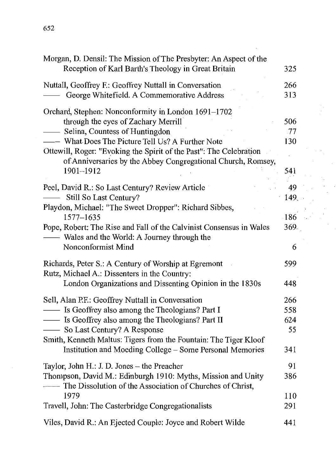| Morgan, D. Densil: The Mission of The Presbyter: An Aspect of the<br>Reception of Karl Barth's Theology in Great Britain                                                                                                                                                                                                             | 325                            |
|--------------------------------------------------------------------------------------------------------------------------------------------------------------------------------------------------------------------------------------------------------------------------------------------------------------------------------------|--------------------------------|
| Nuttall, Geoffrey F.: Geoffrey Nuttall in Conversation<br>George Whitefield. A Commemorative Address                                                                                                                                                                                                                                 | 266<br>313                     |
| Orchard, Stephen: Nonconformity in London 1691-1702<br>through the eyes of Zachary Merrill<br>- Selina, Countess of Huntingdon<br>- What Does The Picture Tell Us? A Further Note<br>Ottewill, Roger: "Evoking the Spirit of the Past": The Celebration<br>of Anniversaries by the Abbey Congregational Church, Romsey,<br>1901-1912 | 506<br>.77<br>130<br>541       |
| Peel, David R.: So Last Century? Review Article<br>Still So Last Century?<br>Playdon, Michael: "The Sweet Dropper": Richard Sibbes,<br>1577-1635                                                                                                                                                                                     | 49<br>149.<br>186              |
| Pope, Robert: The Rise and Fall of the Calvinist Consensus in Wales<br>— Wales and the World: A Journey through the<br>Nonconformist Mind                                                                                                                                                                                            | 369.<br>6                      |
| Richards, Peter S.: A Century of Worship at Egremont<br>Rutz, Michael A.: Dissenters in the Country:<br>London Organizations and Dissenting Opinion in the 1830s                                                                                                                                                                     | 599<br>448                     |
| Sell, Alan P.F.: Geoffrey Nuttall in Conversation<br>- Is Geoffrey also among the Theologians? Part I<br>- Is Geoffrey also among the Theologians? Part II<br>-So Last Century? A Response<br>Smith, Kenneth Maltus: Tigers from the Fountain: The Tiger Kloof<br>Institution and Moeding College - Some Personal Memories           | 266<br>558<br>624<br>55<br>341 |
| Taylor, John H.: J. D. Jones - the Preacher<br>Thompson, David M.: Edinburgh 1910: Myths, Mission and Unity<br>- The Dissolution of the Association of Churches of Christ,<br>1979                                                                                                                                                   | 91<br>386<br>110               |
| Travell, John: The Casterbridge Congregationalists<br>Viles, David R.: An Ejected Couple: Joyce and Robert Wilde                                                                                                                                                                                                                     | 291<br>441                     |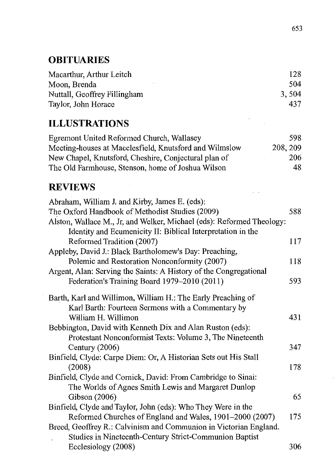## **OBITUARIES**

| Macarthur, Arthur Leitch     | 128   |
|------------------------------|-------|
| Moon, Brenda                 | 504   |
| Nuttall, Geoffrey Fillingham | 3.504 |
| Taylor, John Horace          | 437   |

## **ILLUSTRATIONS**

| Egremont United Reformed Church, Wallasey              | 598.     |
|--------------------------------------------------------|----------|
| Meeting-houses at Macclesfield, Knutsford and Wilmslow | 208, 209 |
| New Chapel, Knutsford, Cheshire, Conjectural plan of   | 206      |
| The Old Farmhouse, Stenson, home of Joshua Wilson      | 48       |

# **REVIEWS**

| Abraham, William J. and Kirby, James E. (eds):                        |     |
|-----------------------------------------------------------------------|-----|
| The Oxford Handbook of Methodist Studies (2009)                       | 588 |
| Alston, Wallace M., Jr, and Welker, Michael (eds): Reformed Theology: |     |
| Identity and Ecumenicity II: Biblical Interpretation in the           |     |
| Reformed Tradition (2007)                                             | 117 |
| Appleby, David J.: Black Bartholomew's Day: Preaching,                |     |
| Polemic and Restoration Nonconformity (2007)                          | 118 |
| Argent, Alan: Serving the Saints: A History of the Congregational     |     |
| Federation's Training Board 1979–2010 (2011)                          | 593 |
| Barth, Karl and Willimon, William H.: The Early Preaching of          |     |
| Karl Barth: Fourteen Sermons with a Commentary by                     |     |
| William H. Willimon                                                   | 431 |
| Bebbington, David with Kenneth Dix and Alan Ruston (eds):             |     |
| Protestant Nonconformist Texts: Volume 3, The Nineteenth              |     |
| Century (2006)                                                        | 347 |
| Binfield, Clyde: Carpe Diem: Or, A Historian Sets out His Stall       |     |
| (2008)                                                                | 178 |
| Binfield, Clyde and Cornick, David: From Cambridge to Sinai:          |     |
| The Worlds of Agnes Smith Lewis and Margaret Dunlop                   |     |
| Gibson (2006)                                                         | 65  |
| Binfield, Clyde and Taylor, John (eds): Who They Were in the          |     |
| Reformed Churches of England and Wales, 1901–2000 (2007)              | 175 |
| Breed, Geoffrey R.: Calvinism and Communion in Victorian England.     |     |
| Studies in Nineteenth-Century Strict-Communion Baptist                |     |
| Ecclesiology (2008)                                                   | 306 |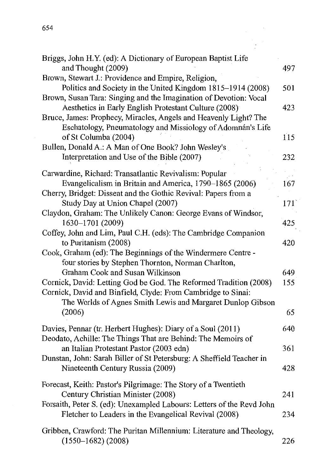| Briggs, John H.Y. (ed): A Dictionary of European Baptist Life                                                                     |     |
|-----------------------------------------------------------------------------------------------------------------------------------|-----|
| and Thought (2009)                                                                                                                | 497 |
| Brown, Stewart J.: Providence and Empire, Religion,                                                                               |     |
| Politics and Society in the United Kingdom 1815–1914 (2008)                                                                       | 501 |
| Brown, Susan Tara: Singing and the Imagination of Devotion: Vocal                                                                 |     |
| Aesthetics in Early English Protestant Culture (2008)                                                                             | 423 |
| Bruce, James: Prophecy, Miracles, Angels and Heavenly Light? The<br>Eschatology, Pneumatology and Missiology of Adomnán's Life    |     |
| of St Columba (2004)                                                                                                              | 115 |
| Bullen, Donald A.: A Man of One Book? John Wesley's                                                                               |     |
| Interpretation and Use of the Bible (2007)                                                                                        | 232 |
| Carwardine, Richard: Transatlantic Revivalism: Popular                                                                            |     |
| Evangelicalism in Britain and America, 1790-1865 (2006)                                                                           | 167 |
| Cherry, Bridget: Dissent and the Gothic Revival: Papers from a                                                                    |     |
| Study Day at Union Chapel (2007)                                                                                                  | 171 |
| Claydon, Graham: The Unlikely Canon: George Evans of Windsor,                                                                     |     |
| 1630-1701 (2009)                                                                                                                  | 425 |
| Coffey, John and Lim, Paul C.H. (eds): The Cambridge Companion                                                                    |     |
| to Puritanism (2008)                                                                                                              | 420 |
| Cook, Graham (ed): The Beginnings of the Windermere Centre -                                                                      |     |
| four stories by Stephen Thornton, Norman Charlton,                                                                                |     |
| Graham Cook and Susan Wilkinson                                                                                                   | 649 |
| Cornick, David: Letting God be God. The Reformed Tradition (2008)<br>Cornick, David and Binfield, Clyde: From Cambridge to Sinai: | 155 |
| The Worlds of Agnes Smith Lewis and Margaret Dunlop Gibson                                                                        | 65  |
| (2006)                                                                                                                            |     |
| Davies, Pennar (tr. Herbert Hughes): Diary of a Soul (2011)<br>Deodato, Achille: The Things That are Behind: The Memoirs of       | 640 |
| an Italian Protestant Pastor (2003 edn)                                                                                           | 361 |
| Dunstan, John: Sarah Biller of St Petersburg: A Sheffield Teacher in                                                              |     |
| Nineteenth Century Russia (2009)                                                                                                  | 428 |
| Forecast, Keith: Pastor's Pilgrimage: The Story of a Twentieth                                                                    |     |
| Century Christian Minister (2008)                                                                                                 | 241 |
| Forsaith, Peter S. (ed): Unexampled Labours: Letters of the Revd John                                                             |     |
| Fletcher to Leaders in the Evangelical Revival (2008)                                                                             | 234 |
| Gribben, Crawford: The Puritan Millennium: Literature and Theology,<br>$(1550 - 1682) (2008)$                                     | 226 |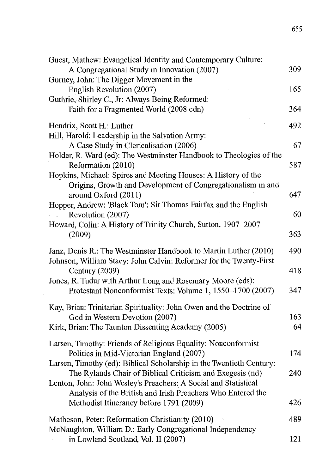| Guest, Mathew: Evangelical Identity and Contemporary Culture:                           |           |
|-----------------------------------------------------------------------------------------|-----------|
| A Congregational Study in Innovation (2007)                                             | 309       |
| Gurney, John: The Digger Movement in the                                                |           |
| English Revolution (2007)                                                               | 165       |
| Guthrie, Shirley C., Jr: Always Being Reformed:                                         |           |
| Faith for a Fragmented World (2008 edn)                                                 | 364       |
|                                                                                         |           |
| Hendrix, Scott H.: Luther                                                               | 492       |
| Hill, Harold: Leadership in the Salvation Army:                                         |           |
| A Case Study in Clericalisation (2006)                                                  | 67        |
| Holder, R. Ward (ed): The Westminster Handbook to Theologies of the                     |           |
| Reformation (2010)                                                                      | 587       |
| Hopkins, Michael: Spires and Meeting Houses: A History of the                           |           |
| Origins, Growth and Development of Congregationalism in and                             | 647       |
| around Oxford (2011)<br>Hopper, Andrew: 'Black Tom': Sir Thomas Fairfax and the English |           |
| Revolution (2007)                                                                       | 60        |
| Howard, Colin: A History of Trinity Church, Sutton, 1907-2007                           |           |
| (2009)                                                                                  | 363       |
|                                                                                         |           |
| Janz, Denis R.: The Westminster Handbook to Martin Luther (2010)                        | 490       |
| Johnson, William Stacy: John Calvin: Reformer for the Twenty-First                      |           |
| Century (2009)                                                                          | 418       |
| Jones, R. Tudur with Arthur Long and Rosemary Moore (eds):                              |           |
| Protestant Nonconformist Texts: Volume 1, 1550-1700 (2007)                              | 347       |
|                                                                                         |           |
| Kay, Brian: Trinitarian Spirituality: John Owen and the Doctrine of                     |           |
| God in Western Devotion (2007)                                                          | 163<br>64 |
| Kirk, Brian: The Taunton Dissenting Academy (2005)                                      |           |
| Larsen, Timothy: Friends of Religious Equality: Nonconformist                           |           |
| Politics in Mid-Victorian England (2007)                                                | 174       |
| Larsen, Timothy (ed): Biblical Scholarship in the Twentieth Century:                    |           |
| The Rylands Chair of Biblical Criticism and Exegesis (nd)                               | 240       |
| Lenton, John: John Wesley's Preachers: A Social and Statistical                         |           |
| Analysis of the British and Irish Preachers Who Entered the                             |           |
| Methodist Itinerancy before 1791 (2009)                                                 | 426       |
|                                                                                         |           |
| Matheson, Peter: Reformation Christianity (2010)                                        | 489       |
| McNaughton, William D.: Early Congregational Independency                               |           |
| in Lowland Scotland, Vol. II (2007)                                                     | 121       |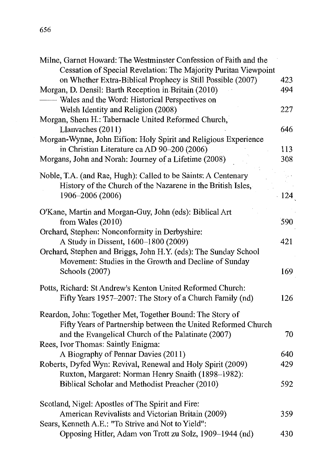| Milne, Garnet Howard: The Westminster Confession of Faith and the<br>Cessation of Special Revelation: The Majority Puritan Viewpoint |     |
|--------------------------------------------------------------------------------------------------------------------------------------|-----|
| on Whether Extra-Biblical Prophecy is Still Possible (2007)                                                                          | 423 |
| Morgan, D. Densil: Barth Reception in Britain (2010)                                                                                 | 494 |
| Wales and the Word: Historical Perspectives on                                                                                       |     |
| Welsh Identity and Religion (2008)                                                                                                   | 227 |
| Morgan, Shem H.: Tabernacle United Reformed Church,                                                                                  |     |
| Llanvaches (2011)                                                                                                                    | 646 |
| Morgan-Wynne, John Eifion: Holy Spirit and Religious Experience                                                                      |     |
| in Christian Literature ca AD 90-200 (2006)                                                                                          | 113 |
| Morgans, John and Norah: Journey of a Lifetime (2008)                                                                                | 308 |
|                                                                                                                                      |     |
| Noble, T.A. (and Rae, Hugh): Called to be Saints: A Centenary                                                                        |     |
| History of the Church of the Nazarene in the British Isles,                                                                          |     |
| 1906-2006 (2006)                                                                                                                     | 124 |
| O'Kane, Martin and Morgan-Guy, John (eds): Biblical Art                                                                              |     |
| from Wales (2010)                                                                                                                    | 590 |
| Orchard, Stephen: Nonconformity in Derbyshire:                                                                                       |     |
| A Study in Dissent, 1600-1800 (2009)                                                                                                 | 421 |
| Orchard, Stephen and Briggs, John H.Y. (eds): The Sunday School                                                                      |     |
| Movement: Studies in the Growth and Decline of Sunday                                                                                |     |
| Schools (2007)                                                                                                                       | 169 |
|                                                                                                                                      |     |
| Potts, Richard: St Andrew's Kenton United Reformed Church:                                                                           |     |
| Fifty Years 1957-2007: The Story of a Church Family (nd)                                                                             | 126 |
| Reardon, John: Together Met, Together Bound: The Story of                                                                            |     |
| Fifty Years of Partnership between the United Reformed Church                                                                        |     |
| and the Evangelical Church of the Palatinate (2007)                                                                                  | 70  |
| Rees, Ivor Thomas: Saintly Enigma:                                                                                                   |     |
| A Biography of Pennar Davies (2011)                                                                                                  | 640 |
| Roberts, Dyfed Wyn: Revival, Renewal and Holy Spirit (2009)                                                                          | 429 |
| Ruxton, Margaret: Norman Henry Snaith (1898-1982):                                                                                   |     |
| Biblical Scholar and Methodist Preacher (2010)                                                                                       | 592 |
|                                                                                                                                      |     |
| Scotland, Nigel: Apostles of The Spirit and Fire:                                                                                    |     |
| American Revivalists and Victorian Britain (2009)                                                                                    | 359 |
| Sears, Kenneth A.E.: "To Strive and Not to Yield":                                                                                   |     |
| Opposing Hitler, Adam von Trott zu Solz, 1909–1944 (nd)                                                                              | 430 |
|                                                                                                                                      |     |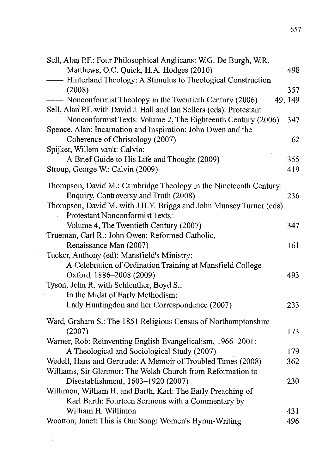| Sell, Alan P.F.: Four Philosophical Anglicans: W.G. De Burgh, W.R.                                         |         |
|------------------------------------------------------------------------------------------------------------|---------|
| Matthews, O.C. Quick, H.A. Hodges (2010)                                                                   | 498     |
| - Hinterland Theology: A Stimulus to Theological Construction                                              |         |
| (2008)                                                                                                     | 357     |
| - Nonconformist Theology in the Twentieth Century (2006)                                                   | 49, 149 |
| Sell, Alan P.F. with David J. Hall and Ian Sellers (eds): Protestant                                       |         |
| Nonconformist Texts: Volume 2, The Eighteenth Century (2006)                                               | 347     |
| Spence, Alan: Incarnation and Inspiration: John Owen and the                                               |         |
| Coherence of Christology (2007)                                                                            | 62      |
| Spijker, Willem van't: Calvin:                                                                             |         |
| A Brief Guide to His Life and Thought (2009)                                                               | 355     |
| Stroup, George W.: Calvin (2009)                                                                           | 419     |
|                                                                                                            |         |
| Thompson, David M.: Cambridge Theology in the Nineteenth Century:                                          |         |
| Enquiry, Controversy and Truth (2008)                                                                      | 236     |
| Thompson, David M. with J.H.Y. Briggs and John Munsey Turner (eds):                                        |         |
| Protestant Nonconformist Texts:<br>$\overline{a}$                                                          |         |
| Volume 4, The Twentieth Century (2007)                                                                     | 347     |
| Trueman, Carl R.: John Owen: Reformed Catholic,                                                            |         |
| Renaissance Man (2007)                                                                                     | 161     |
| Tucker, Anthony (ed): Mansfield's Ministry:                                                                |         |
| A Celebration of Ordination Training at Mansfield College                                                  |         |
| Oxford, 1886-2008 (2009)                                                                                   | 493     |
| Tyson, John R. with Schlenther, Boyd S.:                                                                   |         |
| In the Midst of Early Methodism:                                                                           |         |
| Lady Huntingdon and her Correspondence (2007)                                                              | 233     |
|                                                                                                            |         |
| Ward, Graham S.: The 1851 Religious Census of Northamptonshire<br>(2007)                                   |         |
|                                                                                                            | 173     |
| Warner, Rob: Reinventing English Evangelicalism, 1966-2001:<br>A Theological and Sociological Study (2007) | 179     |
| Wedell, Hans and Gertrude: A Memoir of Troubled Times (2008)                                               |         |
|                                                                                                            | 362     |
| Williams, Sir Glanmor: The Welsh Church from Reformation to                                                |         |
| Disestablishment, 1603-1920 (2007)                                                                         | 230     |
| Willimon, William H. and Barth, Karl: The Early Preaching of                                               |         |
| Karl Barth: Fourteen Sermons with a Commentary by                                                          |         |
| William H. Willimon                                                                                        | 431     |
| Wootton, Janet: This is Our Song: Women's Hymn-Writing                                                     | 496     |

 $\sim$   $\sim$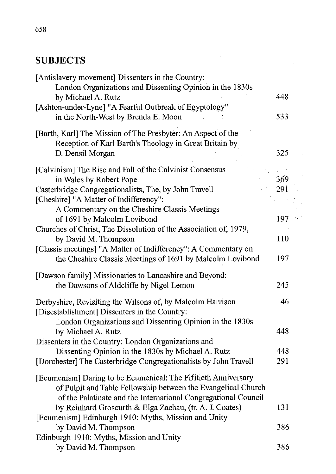### **SUBJECTS**

| [Antislavery movement] Dissenters in the Country:<br>London Organizations and Dissenting Opinion in the 1830s                   |     |
|---------------------------------------------------------------------------------------------------------------------------------|-----|
| by Michael A. Rutz<br>[Ashton-under-Lyne] "A Fearful Outbreak of Egyptology"                                                    | 448 |
| in the North-West by Brenda E. Moon                                                                                             | 533 |
| [Barth, Karl] The Mission of The Presbyter: An Aspect of the<br>Reception of Karl Barth's Theology in Great Britain by          |     |
| D. Densil Morgan                                                                                                                | 325 |
| [Calvinism] The Rise and Fall of the Calvinist Consensus                                                                        |     |
| in Wales by Robert Pope                                                                                                         | 369 |
| Casterbridge Congregationalists, The, by John Travell<br>[Cheshire] "A Matter of Indifferency":                                 | 291 |
| A Commentary on the Cheshire Classis Meetings                                                                                   |     |
| of 1691 by Malcolm Lovibond                                                                                                     | 197 |
| Churches of Christ, The Dissolution of the Association of, 1979,                                                                |     |
| by David M. Thompson                                                                                                            | 110 |
| [Classis meetings] "A Matter of Indifferency": A Commentary on<br>the Cheshire Classis Meetings of 1691 by Malcolm Lovibond     | 197 |
| [Dawson family] Missionaries to Lancashire and Beyond:                                                                          |     |
| the Dawsons of Aldcliffe by Nigel Lemon                                                                                         | 245 |
| Derbyshire, Revisiting the Wilsons of, by Malcolm Harrison                                                                      | 46  |
| [Disestablishment] Dissenters in the Country:                                                                                   |     |
| London Organizations and Dissenting Opinion in the 1830s                                                                        |     |
| by Michael A. Rutz                                                                                                              | 448 |
| Dissenters in the Country: London Organizations and<br>Dissenting Opinion in the 1830s by Michael A. Rutz                       | 448 |
| [Dorchester] The Casterbridge Congregationalists by John Travell                                                                | 291 |
|                                                                                                                                 |     |
| [Ecumenism] Daring to be Ecumenical: The Fifitieth Anniversary<br>of Pulpit and Table Fellowship between the Evangelical Church |     |
| of the Palatinate and the International Congregational Council                                                                  |     |
| by Reinhard Groscurth & Elga Zachau, (tr. A. J. Coates)<br>[Ecumenism] Edinburgh 1910: Myths, Mission and Unity                 | 131 |
| by David M. Thompson                                                                                                            | 386 |
| Edinburgh 1910: Myths, Mission and Unity                                                                                        |     |
| by David M. Thompson                                                                                                            | 386 |

l.  $\ddot{\phantom{0}}$ ý  $\frac{1}{2}$  .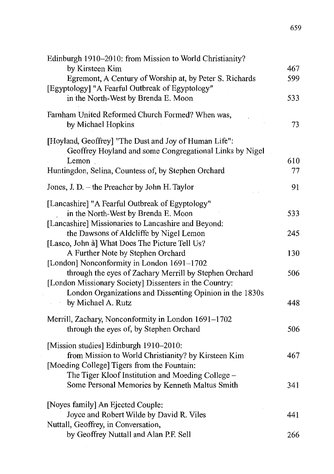| Edinburgh 1910-2010: from Mission to World Christianity?                                                         |     |
|------------------------------------------------------------------------------------------------------------------|-----|
| by Kirsteen Kim                                                                                                  | 467 |
| Egremont, A Century of Worship at, by Peter S. Richards<br>[Egyptology] "A Fearful Outbreak of Egyptology"       | 599 |
| in the North-West by Brenda E. Moon                                                                              | 533 |
| Farnham United Reformed Church Formed? When was,<br>by Michael Hopkins                                           | 73  |
| [Hoyland, Geoffrey] "The Dust and Joy of Human Life":<br>Geoffrey Hoyland and some Congregational Links by Nigel |     |
| Lemon                                                                                                            | 610 |
| Huntingdon, Selina, Countess of, by Stephen Orchard                                                              | 77  |
| Jones, J. D. - the Preacher by John H. Taylor                                                                    | 91  |
| [Lancashire] "A Fearful Outbreak of Egyptology"                                                                  |     |
| in the North-West by Brenda E. Moon                                                                              | 533 |
| [Lancashire] Missionaries to Lancashire and Beyond:                                                              |     |
| the Dawsons of Aldcliffe by Nigel Lemon                                                                          | 245 |
| [Lasco, John à] What Does The Picture Tell Us?                                                                   |     |
| A Further Note by Stephen Orchard                                                                                | 130 |
| [London] Nonconformity in London 1691-1702                                                                       |     |
| through the eyes of Zachary Merrill by Stephen Orchard                                                           | 506 |
| [London Missionary Society] Dissenters in the Country:                                                           |     |
| London Organizations and Dissenting Opinion in the 1830s<br>by Michael A. Rutz                                   |     |
|                                                                                                                  | 448 |
| Merrill, Zachary, Nonconformity in London 1691-1702                                                              |     |
| through the eyes of, by Stephen Orchard                                                                          | 506 |
| [Mission studies] Edinburgh 1910-2010:                                                                           |     |
| from Mission to World Christianity? by Kirsteen Kim                                                              | 467 |
| [Moeding College] Tigers from the Fountain:                                                                      |     |
| The Tiger Kloof Institution and Moeding College -                                                                |     |
| Some Personal Memories by Kenneth Maltus Smith                                                                   | 341 |
| [Noyes family] An Ejected Couple:                                                                                |     |
| Joyce and Robert Wilde by David R. Viles                                                                         | 441 |
| Nuttall, Geoffrey, in Conversation,                                                                              |     |
| by Geoffrey Nuttall and Alan P.F. Sell                                                                           | 266 |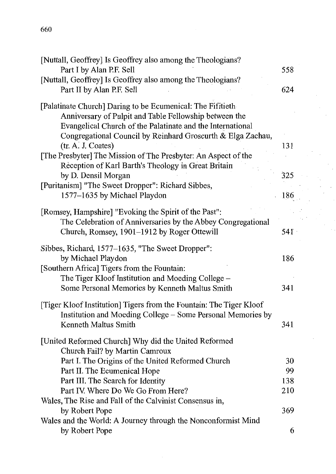| [Nuttall, Geoffrey] Is Geoffrey also among the Theologians?                                                           |     |
|-----------------------------------------------------------------------------------------------------------------------|-----|
| Part I by Alan P.F. Sell                                                                                              | 558 |
| [Nuttall, Geoffrey] Is Geoffrey also among the Theologians?                                                           |     |
| Part II by Alan P.F. Sell                                                                                             | 624 |
| [Palatinate Church] Daring to be Ecumenical: The Fifitieth                                                            |     |
| Anniversary of Pulpit and Table Fellowship between the                                                                |     |
| Evangelical Church of the Palatinate and the International                                                            |     |
| Congregational Council by Reinhard Groscurth & Elga Zachau,                                                           |     |
| (tr. A. J. Coates)                                                                                                    | 131 |
| [The Presbyter] The Mission of The Presbyter: An Aspect of the<br>Reception of Karl Barth's Theology in Great Britain |     |
| by D. Densil Morgan                                                                                                   | 325 |
| [Puritanism] "The Sweet Dropper": Richard Sibbes,                                                                     |     |
| 1577-1635 by Michael Playdon                                                                                          | 186 |
| [Romsey, Hampshire] "Evoking the Spirit of the Past":                                                                 |     |
| The Celebration of Anniversaries by the Abbey Congregational                                                          |     |
| Church, Romsey, 1901-1912 by Roger Ottewill                                                                           | 541 |
|                                                                                                                       |     |
| Sibbes, Richard, 1577-1635, "The Sweet Dropper":                                                                      |     |
| by Michael Playdon<br>[Southern Africa] Tigers from the Fountain:                                                     | 186 |
| The Tiger Kloof Institution and Moeding College -                                                                     |     |
| Some Personal Memories by Kenneth Maltus Smith                                                                        | 341 |
|                                                                                                                       |     |
| [Tiger Kloof Institution] Tigers from the Fountain: The Tiger Kloof                                                   |     |
| Institution and Moeding College - Some Personal Memories by                                                           |     |
| Kenneth Maltus Smith                                                                                                  | 341 |
| [United Reformed Church] Why did the United Reformed                                                                  |     |
| Church Fail? by Martin Camroux                                                                                        |     |
| Part I. The Origins of the United Reformed Church                                                                     | 30  |
| Part II. The Ecumenical Hope                                                                                          | 99  |
| Part III. The Search for Identity                                                                                     | 138 |
| Part IV. Where Do We Go From Here?                                                                                    | 210 |
| Wales, The Rise and Fall of the Calvinist Consensus in,                                                               |     |
| by Robert Pope                                                                                                        | 369 |
| Wales and the World: A Journey through the Nonconformist Mind                                                         |     |
| by Robert Pope                                                                                                        | 6   |